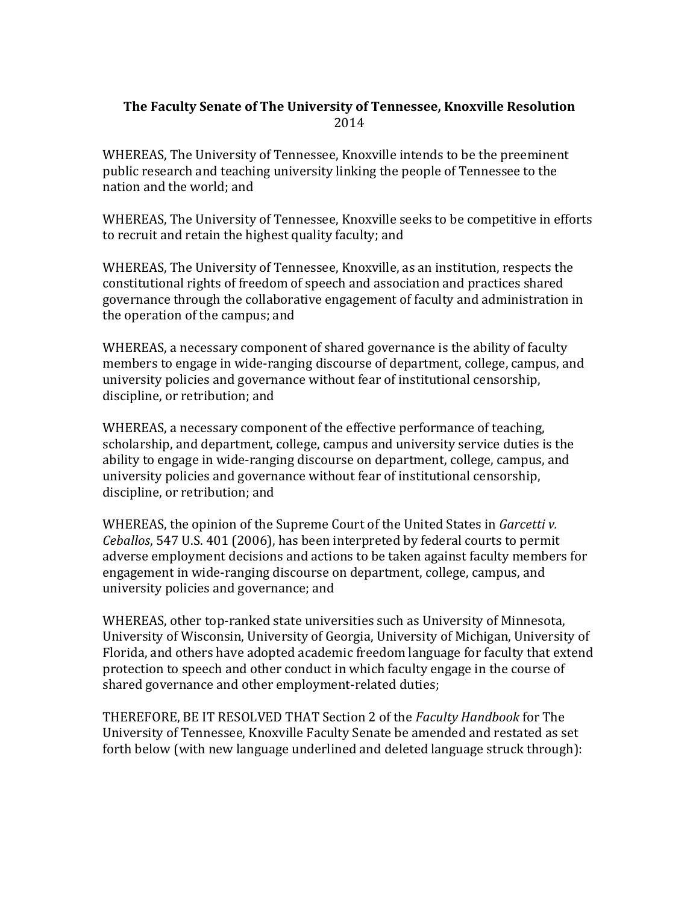## **The Faculty Senate of The University of Tennessee, Knoxville Resolution** 2014

WHEREAS, The University of Tennessee, Knoxville intends to be the preeminent public research and teaching university linking the people of Tennessee to the nation and the world; and

WHEREAS, The University of Tennessee, Knoxville seeks to be competitive in efforts to recruit and retain the highest quality faculty; and

WHEREAS, The University of Tennessee, Knoxville, as an institution, respects the constitutional rights of freedom of speech and association and practices shared governance through the collaborative engagement of faculty and administration in the operation of the campus; and

WHEREAS, a necessary component of shared governance is the ability of faculty members to engage in wide-ranging discourse of department, college, campus, and university policies and governance without fear of institutional censorship, discipline, or retribution; and

WHEREAS, a necessary component of the effective performance of teaching, scholarship, and department, college, campus and university service duties is the ability to engage in wide-ranging discourse on department, college, campus, and university policies and governance without fear of institutional censorship, discipline, or retribution; and

WHEREAS, the opinion of the Supreme Court of the United States in *Garcetti v. Ceballos*, 547 U.S. 401 (2006), has been interpreted by federal courts to permit adverse employment decisions and actions to be taken against faculty members for engagement in wide-ranging discourse on department, college, campus, and university policies and governance; and

WHEREAS, other top-ranked state universities such as University of Minnesota, University of Wisconsin, University of Georgia, University of Michigan, University of Florida, and others have adopted academic freedom language for faculty that extend protection to speech and other conduct in which faculty engage in the course of shared governance and other employment-related duties;

THEREFORE, BE IT RESOLVED THAT Section 2 of the *Faculty Handbook* for The University of Tennessee, Knoxville Faculty Senate be amended and restated as set forth below (with new language underlined and deleted language struck through):